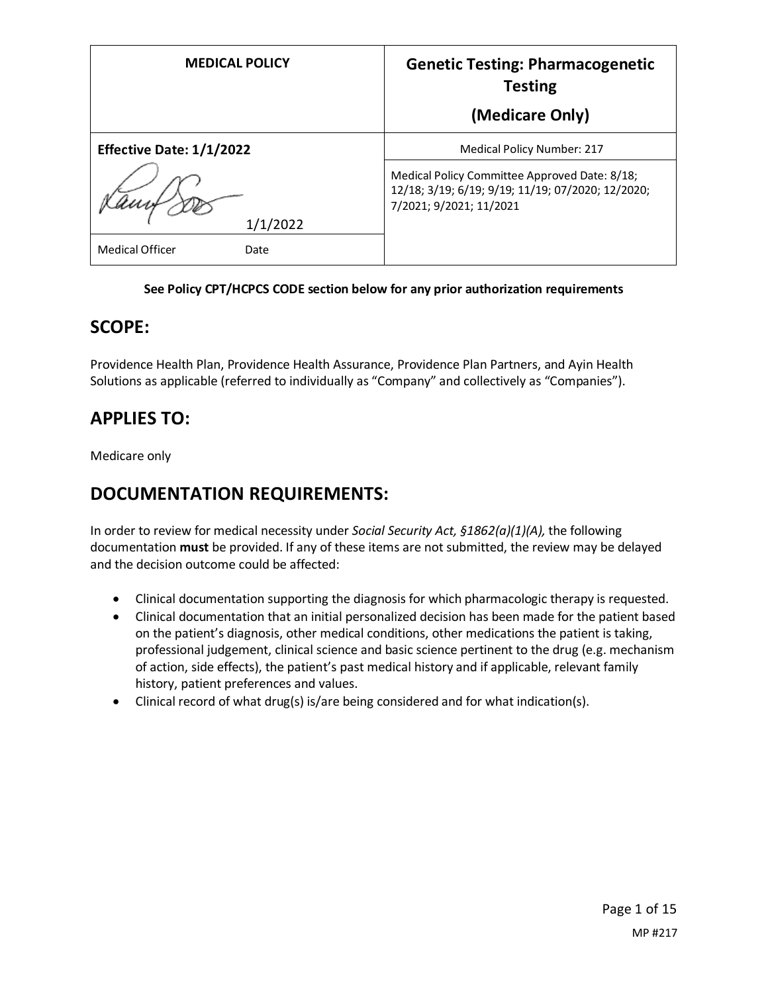| <b>MEDICAL POLICY</b>           | <b>Genetic Testing: Pharmacogenetic</b><br><b>Testing</b><br>(Medicare Only)                                                  |
|---------------------------------|-------------------------------------------------------------------------------------------------------------------------------|
| <b>Effective Date: 1/1/2022</b> | <b>Medical Policy Number: 217</b>                                                                                             |
| 1/1/2022                        | Medical Policy Committee Approved Date: 8/18;<br>12/18; 3/19; 6/19; 9/19; 11/19; 07/2020; 12/2020;<br>7/2021; 9/2021; 11/2021 |
| <b>Medical Officer</b><br>Date  |                                                                                                                               |

#### **See Policy CPT/HCPCS CODE section below for any prior authorization requirements**

#### **SCOPE:**

Providence Health Plan, Providence Health Assurance, Providence Plan Partners, and Ayin Health Solutions as applicable (referred to individually as "Company" and collectively as "Companies").

## **APPLIES TO:**

Medicare only

## **DOCUMENTATION REQUIREMENTS:**

In order to review for medical necessity under *Social Security Act, §1862(a)(1)(A),* the following documentation **must** be provided. If any of these items are not submitted, the review may be delayed and the decision outcome could be affected:

- Clinical documentation supporting the diagnosis for which pharmacologic therapy is requested.
- Clinical documentation that an initial personalized decision has been made for the patient based on the patient's diagnosis, other medical conditions, other medications the patient is taking, professional judgement, clinical science and basic science pertinent to the drug (e.g. mechanism of action, side effects), the patient's past medical history and if applicable, relevant family history, patient preferences and values.
- Clinical record of what drug(s) is/are being considered and for what indication(s).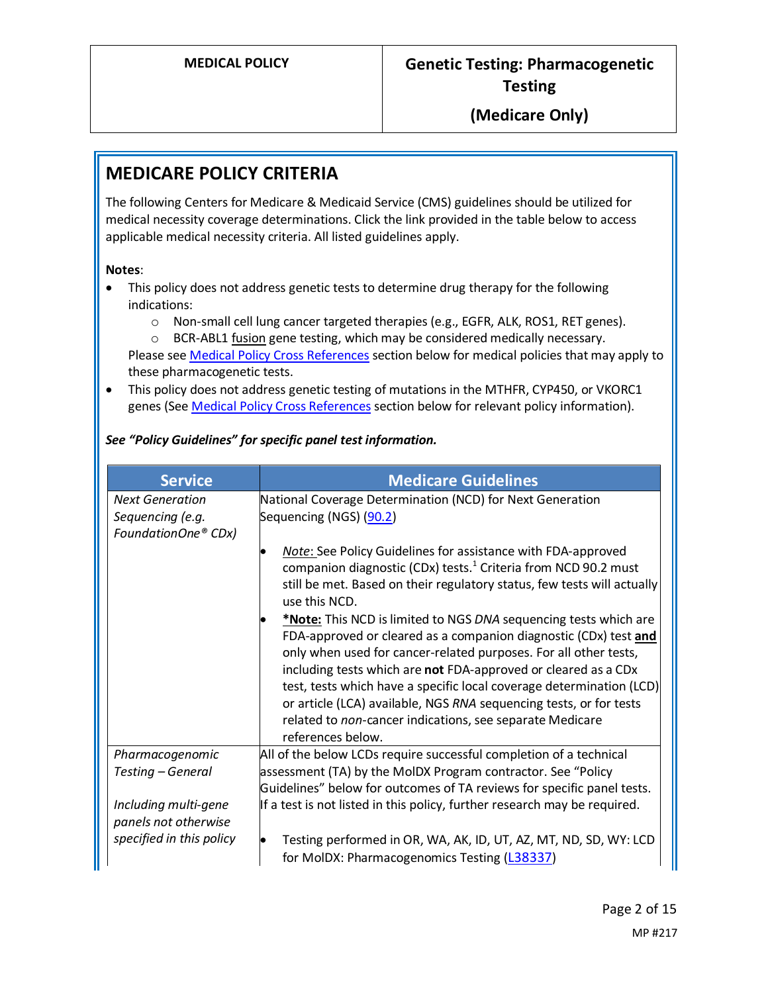## **MEDICARE POLICY CRITERIA**

The following Centers for Medicare & Medicaid Service (CMS) guidelines should be utilized for medical necessity coverage determinations. Click the link provided in the table below to access applicable medical necessity criteria. All listed guidelines apply.

#### **Notes**:

- This policy does not address genetic tests to determine drug therapy for the following indications:
	- o Non-small cell lung cancer targeted therapies (e.g., EGFR, ALK, ROS1, RET genes).

o BCR-ABL1 fusion gene testing, which may be considered medically necessary. Please see [Medical Policy Cross References](#page-14-0) section below for medical policies that may apply to these pharmacogenetic tests.

• This policy does not address genetic testing of mutations in the MTHFR, CYP450, or VKORC1 genes (Se[e Medical Policy Cross References](#page-14-0) section below for relevant policy information).

#### *See "Policy Guidelines" for specific panel test information.*

| <b>Service</b>                               | <b>Medicare Guidelines</b>                                                                                                                                                                                                                                                                                                                                                                                                                                                                                |
|----------------------------------------------|-----------------------------------------------------------------------------------------------------------------------------------------------------------------------------------------------------------------------------------------------------------------------------------------------------------------------------------------------------------------------------------------------------------------------------------------------------------------------------------------------------------|
| <b>Next Generation</b>                       | National Coverage Determination (NCD) for Next Generation                                                                                                                                                                                                                                                                                                                                                                                                                                                 |
| Sequencing (e.g.<br>FoundationOne® CDx)      | Sequencing (NGS) (90.2)                                                                                                                                                                                                                                                                                                                                                                                                                                                                                   |
|                                              | Note: See Policy Guidelines for assistance with FDA-approved<br>companion diagnostic (CDx) tests. <sup>1</sup> Criteria from NCD 90.2 must<br>still be met. Based on their regulatory status, few tests will actually<br>use this NCD.                                                                                                                                                                                                                                                                    |
|                                              | *Note: This NCD is limited to NGS DNA sequencing tests which are<br>FDA-approved or cleared as a companion diagnostic (CDx) test and<br>only when used for cancer-related purposes. For all other tests,<br>including tests which are not FDA-approved or cleared as a CDx<br>test, tests which have a specific local coverage determination (LCD)<br>or article (LCA) available, NGS RNA sequencing tests, or for tests<br>related to non-cancer indications, see separate Medicare<br>references below. |
| Pharmacogenomic                              | All of the below LCDs require successful completion of a technical                                                                                                                                                                                                                                                                                                                                                                                                                                        |
| Testing - General                            | assessment (TA) by the MoIDX Program contractor. See "Policy                                                                                                                                                                                                                                                                                                                                                                                                                                              |
|                                              | Guidelines" below for outcomes of TA reviews for specific panel tests.                                                                                                                                                                                                                                                                                                                                                                                                                                    |
| Including multi-gene<br>panels not otherwise | If a test is not listed in this policy, further research may be required.                                                                                                                                                                                                                                                                                                                                                                                                                                 |
| specified in this policy                     | Testing performed in OR, WA, AK, ID, UT, AZ, MT, ND, SD, WY: LCD<br>for MoIDX: Pharmacogenomics Testing (L38337)                                                                                                                                                                                                                                                                                                                                                                                          |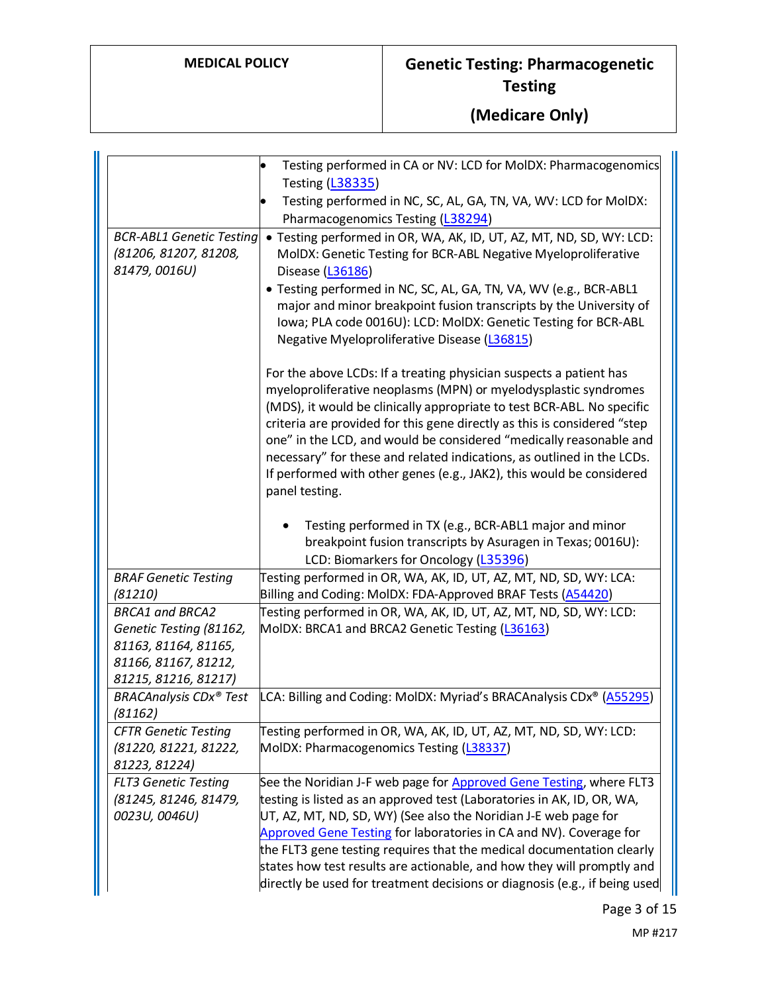|                                                                                                                           | Testing performed in CA or NV: LCD for MoIDX: Pharmacogenomics<br><b>Testing (L38335)</b><br>Testing performed in NC, SC, AL, GA, TN, VA, WV: LCD for MolDX:<br>Pharmacogenomics Testing (L38294)                                                                                                                                                                                                                                                                                                                                     |
|---------------------------------------------------------------------------------------------------------------------------|---------------------------------------------------------------------------------------------------------------------------------------------------------------------------------------------------------------------------------------------------------------------------------------------------------------------------------------------------------------------------------------------------------------------------------------------------------------------------------------------------------------------------------------|
| <b>BCR-ABL1 Genetic Testing</b><br>(81206, 81207, 81208,<br>81479, 0016U)                                                 | · Testing performed in OR, WA, AK, ID, UT, AZ, MT, ND, SD, WY: LCD:<br>MoIDX: Genetic Testing for BCR-ABL Negative Myeloproliferative<br>Disease (L36186)<br>· Testing performed in NC, SC, AL, GA, TN, VA, WV (e.g., BCR-ABL1<br>major and minor breakpoint fusion transcripts by the University of<br>Iowa; PLA code 0016U): LCD: MolDX: Genetic Testing for BCR-ABL<br>Negative Myeloproliferative Disease (L36815)                                                                                                                |
|                                                                                                                           | For the above LCDs: If a treating physician suspects a patient has<br>myeloproliferative neoplasms (MPN) or myelodysplastic syndromes<br>(MDS), it would be clinically appropriate to test BCR-ABL. No specific<br>criteria are provided for this gene directly as this is considered "step<br>one" in the LCD, and would be considered "medically reasonable and<br>necessary" for these and related indications, as outlined in the LCDs.<br>If performed with other genes (e.g., JAK2), this would be considered<br>panel testing. |
|                                                                                                                           | Testing performed in TX (e.g., BCR-ABL1 major and minor<br>breakpoint fusion transcripts by Asuragen in Texas; 0016U):<br>LCD: Biomarkers for Oncology (L35396)                                                                                                                                                                                                                                                                                                                                                                       |
| <b>BRAF Genetic Testing</b><br>(81210)                                                                                    | Testing performed in OR, WA, AK, ID, UT, AZ, MT, ND, SD, WY: LCA:<br>Billing and Coding: MolDX: FDA-Approved BRAF Tests (A54420)                                                                                                                                                                                                                                                                                                                                                                                                      |
| <b>BRCA1 and BRCA2</b><br>Genetic Testing (81162,<br>81163, 81164, 81165,<br>81166, 81167, 81212,<br>81215, 81216, 81217) | Testing performed in OR, WA, AK, ID, UT, AZ, MT, ND, SD, WY: LCD:<br>MoIDX: BRCA1 and BRCA2 Genetic Testing (L36163)                                                                                                                                                                                                                                                                                                                                                                                                                  |
| <b>BRACAnalysis CDx® Test</b><br>(81162)                                                                                  | LCA: Billing and Coding: MolDX: Myriad's BRACAnalysis CDx® (A55295)                                                                                                                                                                                                                                                                                                                                                                                                                                                                   |
| <b>CFTR Genetic Testing</b><br>(81220, 81221, 81222,<br>81223, 81224)                                                     | Testing performed in OR, WA, AK, ID, UT, AZ, MT, ND, SD, WY: LCD:<br>MolDX: Pharmacogenomics Testing (L38337)                                                                                                                                                                                                                                                                                                                                                                                                                         |
| <b>FLT3 Genetic Testing</b><br>(81245, 81246, 81479,<br>0023U, 0046U)                                                     | See the Noridian J-F web page for Approved Gene Testing, where FLT3<br>testing is listed as an approved test (Laboratories in AK, ID, OR, WA,<br>UT, AZ, MT, ND, SD, WY) (See also the Noridian J-E web page for<br>Approved Gene Testing for laboratories in CA and NV). Coverage for<br>the FLT3 gene testing requires that the medical documentation clearly<br>states how test results are actionable, and how they will promptly and<br>directly be used for treatment decisions or diagnosis (e.g., if being used               |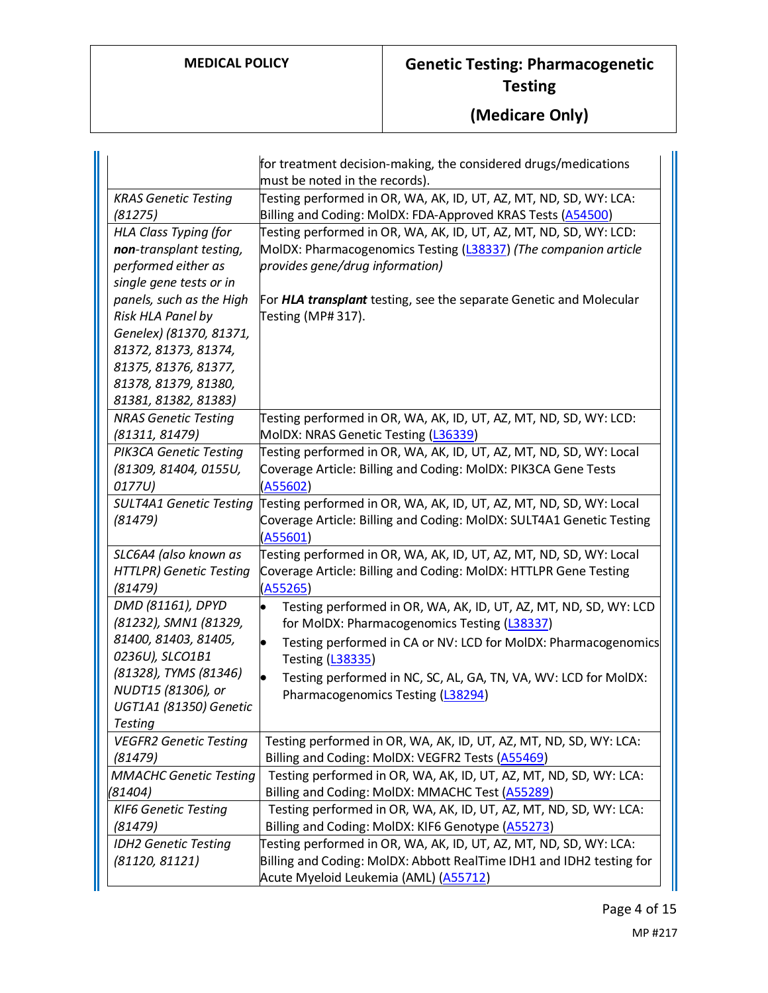|                                | for treatment decision-making, the considered drugs/medications      |
|--------------------------------|----------------------------------------------------------------------|
|                                | must be noted in the records).                                       |
| <b>KRAS Genetic Testing</b>    | Testing performed in OR, WA, AK, ID, UT, AZ, MT, ND, SD, WY: LCA:    |
| (81275)                        | Billing and Coding: MoIDX: FDA-Approved KRAS Tests (A54500)          |
| <b>HLA Class Typing (for</b>   | Testing performed in OR, WA, AK, ID, UT, AZ, MT, ND, SD, WY: LCD:    |
| non-transplant testing,        | MoIDX: Pharmacogenomics Testing (L38337) (The companion article      |
| performed either as            | provides gene/drug information)                                      |
| single gene tests or in        |                                                                      |
| panels, such as the High       | For HLA transplant testing, see the separate Genetic and Molecular   |
| Risk HLA Panel by              | Testing (MP#317).                                                    |
| Genelex) (81370, 81371,        |                                                                      |
| 81372, 81373, 81374,           |                                                                      |
| 81375, 81376, 81377,           |                                                                      |
| 81378, 81379, 81380,           |                                                                      |
| 81381, 81382, 81383)           |                                                                      |
| <b>NRAS Genetic Testing</b>    | Testing performed in OR, WA, AK, ID, UT, AZ, MT, ND, SD, WY: LCD:    |
| (81311, 81479)                 | MoIDX: NRAS Genetic Testing (L36339)                                 |
| PIK3CA Genetic Testing         | Testing performed in OR, WA, AK, ID, UT, AZ, MT, ND, SD, WY: Local   |
| (81309, 81404, 0155U,          | Coverage Article: Billing and Coding: MoIDX: PIK3CA Gene Tests       |
| 0177U)                         | (A55602)                                                             |
| <b>SULT4A1 Genetic Testing</b> | Testing performed in OR, WA, AK, ID, UT, AZ, MT, ND, SD, WY: Local   |
| (81479)                        | Coverage Article: Billing and Coding: MoIDX: SULT4A1 Genetic Testing |
|                                | (A55601)                                                             |
| SLC6A4 (also known as          | Testing performed in OR, WA, AK, ID, UT, AZ, MT, ND, SD, WY: Local   |
| <b>HTTLPR) Genetic Testing</b> | Coverage Article: Billing and Coding: MoIDX: HTTLPR Gene Testing     |
| (81479)                        | (A55265)                                                             |
| DMD (81161), DPYD              | Testing performed in OR, WA, AK, ID, UT, AZ, MT, ND, SD, WY: LCD     |
| (81232), SMN1 (81329,          | for MoIDX: Pharmacogenomics Testing (L38337)                         |
| 81400, 81403, 81405,           | Testing performed in CA or NV: LCD for MolDX: Pharmacogenomics       |
| 0236U), SLCO1B1                | Testing (L38335)                                                     |
| (81328), TYMS (81346)          | Testing performed in NC, SC, AL, GA, TN, VA, WV: LCD for MolDX:      |
| NUDT15 (81306), or             | Pharmacogenomics Testing (L38294)                                    |
| UGT1A1 (81350) Genetic         |                                                                      |
| <b>Testing</b>                 |                                                                      |
| <b>VEGFR2 Genetic Testing</b>  | Testing performed in OR, WA, AK, ID, UT, AZ, MT, ND, SD, WY: LCA:    |
| (81479)                        | Billing and Coding: MoIDX: VEGFR2 Tests (A55469)                     |
| <b>MMACHC Genetic Testing</b>  | Testing performed in OR, WA, AK, ID, UT, AZ, MT, ND, SD, WY: LCA:    |
| (81404)                        | Billing and Coding: MoIDX: MMACHC Test (A55289)                      |
| <b>KIF6 Genetic Testing</b>    | Testing performed in OR, WA, AK, ID, UT, AZ, MT, ND, SD, WY: LCA:    |
| (81479)                        | Billing and Coding: MolDX: KIF6 Genotype (A55273)                    |
| <b>IDH2 Genetic Testing</b>    | Testing performed in OR, WA, AK, ID, UT, AZ, MT, ND, SD, WY: LCA:    |
| (81120, 81121)                 | Billing and Coding: MolDX: Abbott RealTime IDH1 and IDH2 testing for |
|                                | Acute Myeloid Leukemia (AML) (A55712)                                |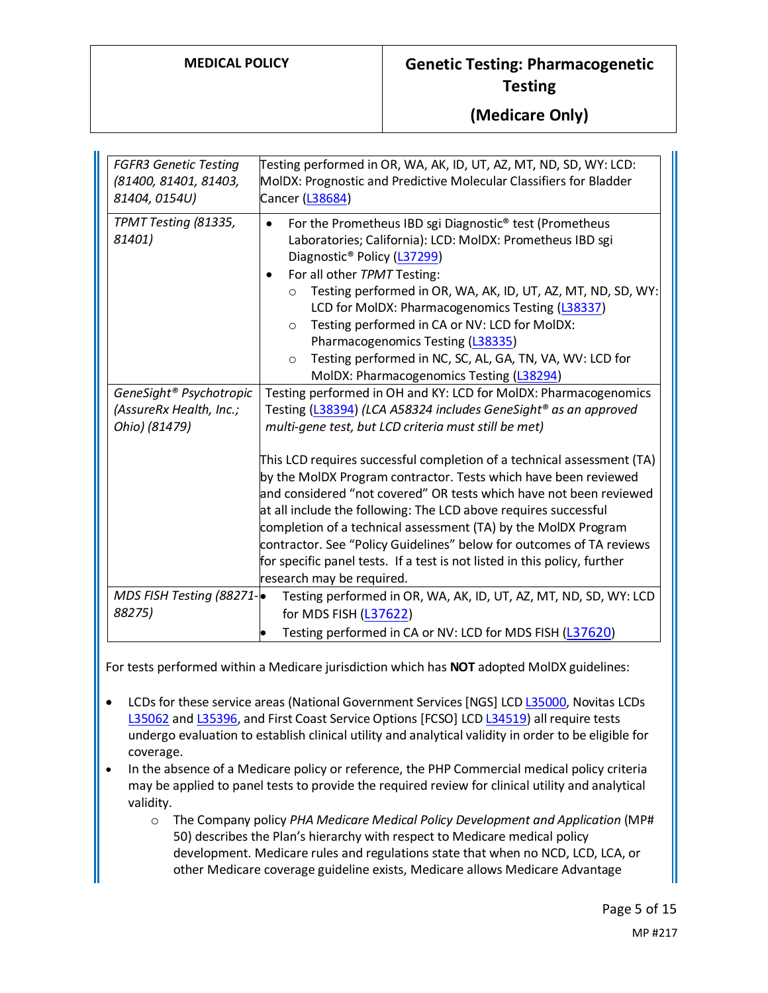| <b>FGFR3 Genetic Testing</b><br>(81400, 81401, 81403,<br>81404, 0154U) | Testing performed in OR, WA, AK, ID, UT, AZ, MT, ND, SD, WY: LCD:<br>MoIDX: Prognostic and Predictive Molecular Classifiers for Bladder<br>Cancer (L38684)                                                                                                                                                                                                                                                                                                                                                                                                              |  |
|------------------------------------------------------------------------|-------------------------------------------------------------------------------------------------------------------------------------------------------------------------------------------------------------------------------------------------------------------------------------------------------------------------------------------------------------------------------------------------------------------------------------------------------------------------------------------------------------------------------------------------------------------------|--|
| TPMT Testing (81335,<br>81401)                                         | For the Prometheus IBD sgi Diagnostic <sup>®</sup> test (Prometheus<br>٠<br>Laboratories; California): LCD: MolDX: Prometheus IBD sgi<br>Diagnostic <sup>®</sup> Policy (L37299)<br>For all other TPMT Testing:<br>٠<br>Testing performed in OR, WA, AK, ID, UT, AZ, MT, ND, SD, WY:<br>$\circ$<br>LCD for MolDX: Pharmacogenomics Testing (L38337)<br>Testing performed in CA or NV: LCD for MolDX:<br>$\circ$<br>Pharmacogenomics Testing (L38335)<br>Testing performed in NC, SC, AL, GA, TN, VA, WV: LCD for<br>$\circ$<br>MolDX: Pharmacogenomics Testing (L38294) |  |
| GeneSight <sup>®</sup> Psychotropic                                    | Testing performed in OH and KY: LCD for MoIDX: Pharmacogenomics                                                                                                                                                                                                                                                                                                                                                                                                                                                                                                         |  |
| (AssureRx Health, Inc.;                                                | Testing (L38394) (LCA A58324 includes GeneSight® as an approved                                                                                                                                                                                                                                                                                                                                                                                                                                                                                                         |  |
| Ohio) (81479)                                                          | multi-gene test, but LCD criteria must still be met)                                                                                                                                                                                                                                                                                                                                                                                                                                                                                                                    |  |
|                                                                        | This LCD requires successful completion of a technical assessment (TA)<br>by the MoIDX Program contractor. Tests which have been reviewed<br>and considered "not covered" OR tests which have not been reviewed<br>at all include the following: The LCD above requires successful<br>completion of a technical assessment (TA) by the MolDX Program<br>contractor. See "Policy Guidelines" below for outcomes of TA reviews<br>for specific panel tests. If a test is not listed in this policy, further<br>research may be required.                                  |  |
| MDS FISH Testing (88271-                                               | Testing performed in OR, WA, AK, ID, UT, AZ, MT, ND, SD, WY: LCD                                                                                                                                                                                                                                                                                                                                                                                                                                                                                                        |  |
| 88275)                                                                 | for MDS FISH (L37622)                                                                                                                                                                                                                                                                                                                                                                                                                                                                                                                                                   |  |
|                                                                        | Testing performed in CA or NV: LCD for MDS FISH (L37620)                                                                                                                                                                                                                                                                                                                                                                                                                                                                                                                |  |

For tests performed within a Medicare jurisdiction which has **NOT** adopted MolDX guidelines:

- LCDs for these service areas (National Government Services [NGS] LCD [L35000,](https://www.cms.gov/medicare-coverage-database/view/lcd.aspx?lcdid=35000) Novitas LCDs [L35062](https://www.cms.gov/medicare-coverage-database/view/lcd.aspx?lcdid=35062) an[d L35396,](https://www.cms.gov/medicare-coverage-database/view/lcd.aspx?lcdid=35396) and First Coast Service Options [FCSO] LC[D L34519\)](https://www.cms.gov/medicare-coverage-database/view/lcd.aspx?lcdid=34519) all require tests undergo evaluation to establish clinical utility and analytical validity in order to be eligible for coverage.
- In the absence of a Medicare policy or reference, the PHP Commercial medical policy criteria may be applied to panel tests to provide the required review for clinical utility and analytical validity.
	- o The Company policy *PHA Medicare Medical Policy Development and Application* (MP# 50) describes the Plan's hierarchy with respect to Medicare medical policy development. Medicare rules and regulations state that when no NCD, LCD, LCA, or other Medicare coverage guideline exists, Medicare allows Medicare Advantage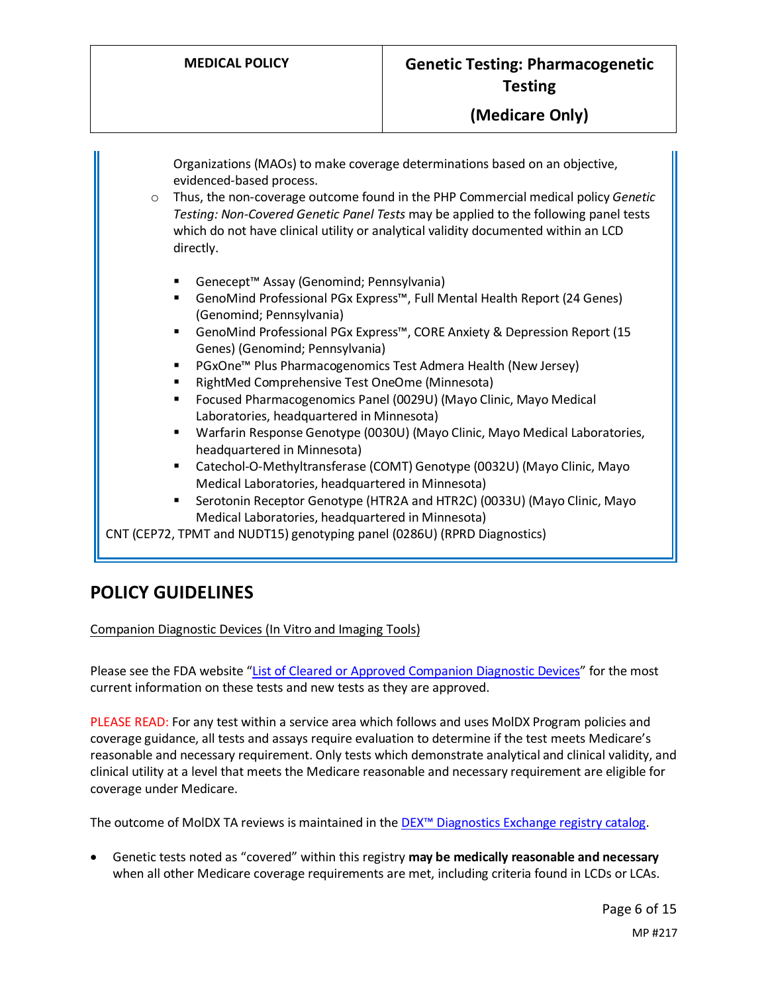Organizations (MAOs) to make coverage determinations based on an objective, evidenced-based process. o Thus, the non-coverage outcome found in the PHP Commercial medical policy *Genetic Testing: Non-Covered Genetic Panel Tests* may be applied to the following panel tests which do not have clinical utility or analytical validity documented within an LCD directly. Genecept™ Assay (Genomind; Pennsylvania) GenoMind Professional PGx Express™, Full Mental Health Report (24 Genes) (Genomind; Pennsylvania) ■ GenoMind Professional PGx Express™, CORE Anxiety & Depression Report (15 Genes) (Genomind; Pennsylvania) ■ PGxOne™ Plus Pharmacogenomics Test Admera Health (New Jersey) **RightMed Comprehensive Test OneOme (Minnesota)**  Focused Pharmacogenomics Panel (0029U) (Mayo Clinic, Mayo Medical Laboratories, headquartered in Minnesota) Warfarin Response Genotype (0030U) (Mayo Clinic, Mayo Medical Laboratories, headquartered in Minnesota) Catechol-O-Methyltransferase (COMT) Genotype (0032U) (Mayo Clinic, Mayo Medical Laboratories, headquartered in Minnesota) Serotonin Receptor Genotype (HTR2A and HTR2C) (0033U) (Mayo Clinic, Mayo Medical Laboratories, headquartered in Minnesota)

CNT (CEP72, TPMT and NUDT15) genotyping panel (0286U) (RPRD Diagnostics)

#### **POLICY GUIDELINES**

Companion Diagnostic Devices (In Vitro and Imaging Tools)

Please see the FDA website ["List of Cleared or Approved Companion Diagnostic Devices"](https://www.fda.gov/MedicalDevices/ProductsandMedicalProcedures/InVitroDiagnostics/ucm301431.htm) for the most current information on these tests and new tests as they are approved.

PLEASE READ: For any test within a service area which follows and uses MolDX Program policies and coverage guidance, all tests and assays require evaluation to determine if the test meets Medicare's reasonable and necessary requirement. Only tests which demonstrate analytical and clinical validity, and clinical utility at a level that meets the Medicare reasonable and necessary requirement are eligible for coverage under Medicare.

The outcome of MolDX TA reviews is maintained in the [DEX™ Diagnostics Exchange registry catalog.](https://app.dexzcodes.com/login)

• Genetic tests noted as "covered" within this registry **may be medically reasonable and necessary** when all other Medicare coverage requirements are met, including criteria found in LCDs or LCAs.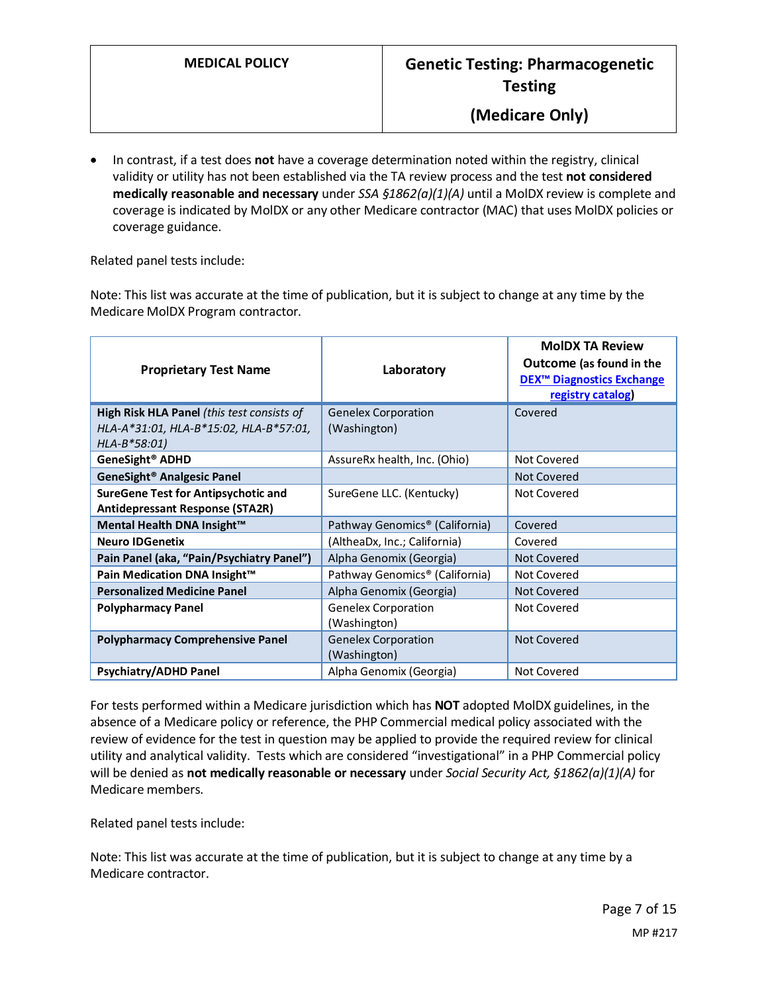• In contrast, if a test does **not** have a coverage determination noted within the registry, clinical validity or utility has not been established via the TA review process and the test **not considered medically reasonable and necessary** under *SSA §1862(a)(1)(A)* until a MolDX review is complete and coverage is indicated by MolDX or any other Medicare contractor (MAC) that uses MolDX policies or coverage guidance.

Related panel tests include:

Note: This list was accurate at the time of publication, but it is subject to change at any time by the Medicare MolDX Program contractor.

| <b>Proprietary Test Name</b>                                                         | Laboratory                                 | <b>MoIDX TA Review</b><br>Outcome (as found in the<br><b>DEX<sup>™</sup> Diagnostics Exchange</b><br>registry catalog) |
|--------------------------------------------------------------------------------------|--------------------------------------------|------------------------------------------------------------------------------------------------------------------------|
| High Risk HLA Panel (this test consists of                                           | <b>Genelex Corporation</b>                 | Covered                                                                                                                |
| HLA-A*31:01, HLA-B*15:02, HLA-B*57:01,<br>HLA-B*58:01)                               | (Washington)                               |                                                                                                                        |
| GeneSight <sup>®</sup> ADHD                                                          | AssureRx health, Inc. (Ohio)               | Not Covered                                                                                                            |
| GeneSight <sup>®</sup> Analgesic Panel                                               |                                            | Not Covered                                                                                                            |
| <b>SureGene Test for Antipsychotic and</b><br><b>Antidepressant Response (STA2R)</b> | SureGene LLC. (Kentucky)                   | Not Covered                                                                                                            |
| Mental Health DNA Insight™                                                           | Pathway Genomics <sup>®</sup> (California) | Covered                                                                                                                |
| <b>Neuro IDGenetix</b>                                                               | (AltheaDx, Inc.; California)               | Covered                                                                                                                |
| Pain Panel (aka, "Pain/Psychiatry Panel")                                            | Alpha Genomix (Georgia)                    | Not Covered                                                                                                            |
| Pain Medication DNA Insight™                                                         | Pathway Genomics <sup>®</sup> (California) | Not Covered                                                                                                            |
| <b>Personalized Medicine Panel</b>                                                   | Alpha Genomix (Georgia)                    | Not Covered                                                                                                            |
| <b>Polypharmacy Panel</b>                                                            | <b>Genelex Corporation</b><br>(Washington) | Not Covered                                                                                                            |
| <b>Polypharmacy Comprehensive Panel</b>                                              | <b>Genelex Corporation</b><br>(Washington) | Not Covered                                                                                                            |
| <b>Psychiatry/ADHD Panel</b>                                                         | Alpha Genomix (Georgia)                    | Not Covered                                                                                                            |

For tests performed within a Medicare jurisdiction which has **NOT** adopted MolDX guidelines, in the absence of a Medicare policy or reference, the PHP Commercial medical policy associated with the review of evidence for the test in question may be applied to provide the required review for clinical utility and analytical validity. Tests which are considered "investigational" in a PHP Commercial policy will be denied as **not medically reasonable or necessary** under *Social Security Act, §1862(a)(1)(A)* for Medicare members.

Related panel tests include:

Note: This list was accurate at the time of publication, but it is subject to change at any time by a Medicare contractor.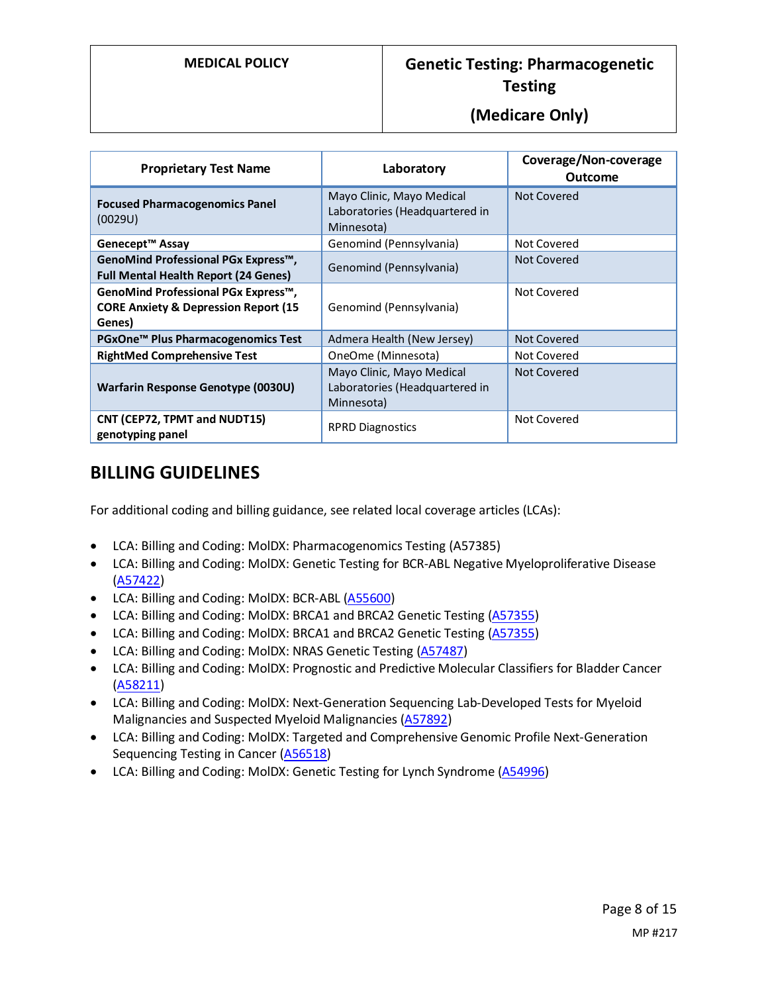### **(Medicare Only)**

| <b>Proprietary Test Name</b>                                                                     | Laboratory                                                                | Coverage/Non-coverage<br><b>Outcome</b> |
|--------------------------------------------------------------------------------------------------|---------------------------------------------------------------------------|-----------------------------------------|
| <b>Focused Pharmacogenomics Panel</b><br>(0029U)                                                 | Mayo Clinic, Mayo Medical<br>Laboratories (Headquartered in<br>Minnesota) | Not Covered                             |
| Genecept <sup>™</sup> Assay                                                                      | Genomind (Pennsylvania)                                                   | Not Covered                             |
| GenoMind Professional PGx Express™,<br><b>Full Mental Health Report (24 Genes)</b>               | Genomind (Pennsylvania)                                                   | Not Covered                             |
| GenoMind Professional PGx Express™,<br><b>CORE Anxiety &amp; Depression Report (15</b><br>Genes) | Genomind (Pennsylvania)                                                   | Not Covered                             |
| PGxOne <sup>™</sup> Plus Pharmacogenomics Test                                                   | Admera Health (New Jersey)                                                | Not Covered                             |
| <b>RightMed Comprehensive Test</b>                                                               | OneOme (Minnesota)                                                        | Not Covered                             |
| Warfarin Response Genotype (0030U)                                                               | Mayo Clinic, Mayo Medical<br>Laboratories (Headquartered in<br>Minnesota) | Not Covered                             |
| CNT (CEP72, TPMT and NUDT15)<br>genotyping panel                                                 | <b>RPRD Diagnostics</b>                                                   | Not Covered                             |

## **BILLING GUIDELINES**

For additional coding and billing guidance, see related local coverage articles (LCAs):

- LCA: Billing and Coding: MolDX: Pharmacogenomics Testing (A57385)
- LCA: Billing and Coding: MolDX: Genetic Testing for BCR-ABL Negative Myeloproliferative Disease [\(A57422\)](https://www.cms.gov/medicare-coverage-database/details/article-details.aspx?articleid=57422)
- LCA: Billing and Coding: MolDX: BCR-ABL [\(A55600\)](https://www.cms.gov/medicare-coverage-database/details/article-details.aspx?articleid=55600)
- LCA: Billing and Coding: MolDX: BRCA1 and BRCA2 Genetic Testing [\(A57355\)](https://www.cms.gov/medicare-coverage-database/details/article-details.aspx?articleid=57355)
- LCA: Billing and Coding: MolDX: BRCA1 and BRCA2 Genetic Testing [\(A57355\)](https://www.cms.gov/medicare-coverage-database/details/article-details.aspx?articleid=57355)
- LCA: Billing and Coding: MolDX: NRAS Genetic Testing [\(A57487\)](https://www.cms.gov/medicare-coverage-database/details/article-details.aspx?articleid=57487)
- LCA: Billing and Coding: MolDX: Prognostic and Predictive Molecular Classifiers for Bladder Cancer [\(A58211\)](https://www.cms.gov/medicare-coverage-database/details/article-details.aspx?articleid=58211)
- LCA: Billing and Coding: MolDX: Next-Generation Sequencing Lab-Developed Tests for Myeloid Malignancies and Suspected Myeloid Malignancies [\(A57892\)](https://www.cms.gov/medicare-coverage-database/details/article-details.aspx?articleid=57892)
- LCA: Billing and Coding: MolDX: Targeted and Comprehensive Genomic Profile Next-Generation Sequencing Testing in Cancer [\(A56518\)](https://www.cms.gov/medicare-coverage-database/details/article-details.aspx?articleid=56518)
- LCA: Billing and Coding: MolDX: Genetic Testing for Lynch Syndrome [\(A54996\)](https://www.cms.gov/medicare-coverage-database/details/article-details.aspx?articleid=54996)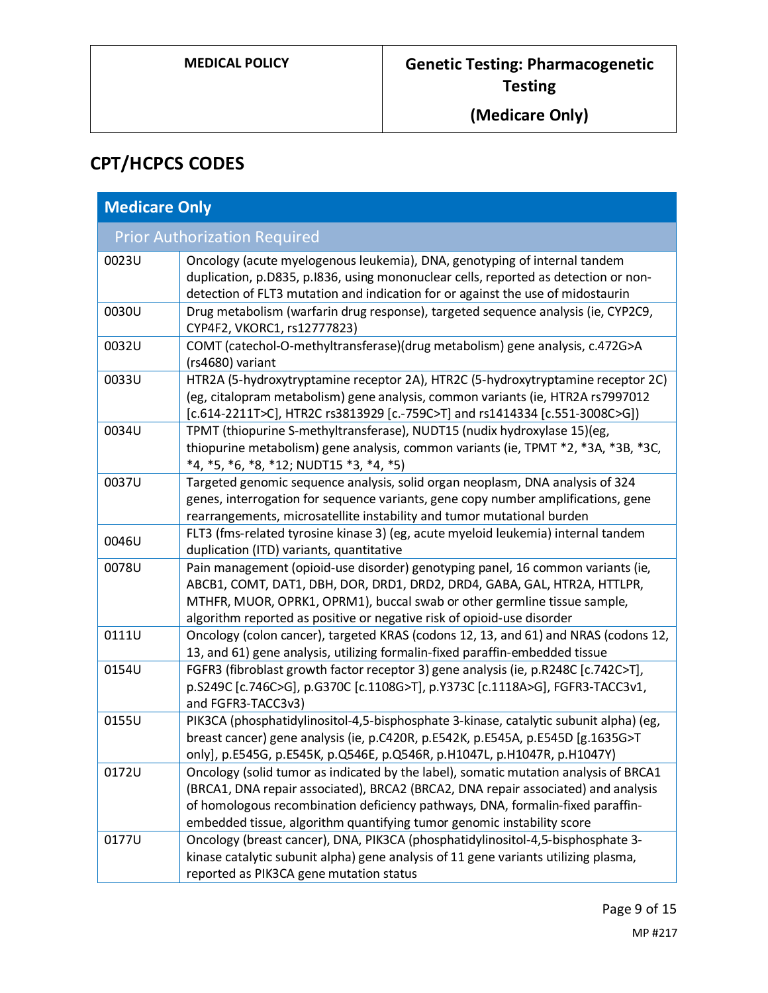# **CPT/HCPCS CODES**

| <b>Medicare Only</b>                |                                                                                                                                                                                                                                                                                                                                       |  |
|-------------------------------------|---------------------------------------------------------------------------------------------------------------------------------------------------------------------------------------------------------------------------------------------------------------------------------------------------------------------------------------|--|
| <b>Prior Authorization Required</b> |                                                                                                                                                                                                                                                                                                                                       |  |
| 0023U                               | Oncology (acute myelogenous leukemia), DNA, genotyping of internal tandem<br>duplication, p.D835, p.I836, using mononuclear cells, reported as detection or non-<br>detection of FLT3 mutation and indication for or against the use of midostaurin                                                                                   |  |
| 0030U                               | Drug metabolism (warfarin drug response), targeted sequence analysis (ie, CYP2C9,<br>CYP4F2, VKORC1, rs12777823)                                                                                                                                                                                                                      |  |
| 0032U                               | COMT (catechol-O-methyltransferase)(drug metabolism) gene analysis, c.472G>A<br>(rs4680) variant                                                                                                                                                                                                                                      |  |
| 0033U                               | HTR2A (5-hydroxytryptamine receptor 2A), HTR2C (5-hydroxytryptamine receptor 2C)<br>(eg, citalopram metabolism) gene analysis, common variants (ie, HTR2A rs7997012<br>[c.614-2211T>C], HTR2C rs3813929 [c.-759C>T] and rs1414334 [c.551-3008C>G])                                                                                    |  |
| 0034U                               | TPMT (thiopurine S-methyltransferase), NUDT15 (nudix hydroxylase 15)(eg,<br>thiopurine metabolism) gene analysis, common variants (ie, TPMT *2, *3A, *3B, *3C,<br>*4, *5, *6, *8, *12; NUDT15 *3, *4, *5)                                                                                                                             |  |
| 0037U                               | Targeted genomic sequence analysis, solid organ neoplasm, DNA analysis of 324<br>genes, interrogation for sequence variants, gene copy number amplifications, gene<br>rearrangements, microsatellite instability and tumor mutational burden                                                                                          |  |
| 0046U                               | FLT3 (fms-related tyrosine kinase 3) (eg, acute myeloid leukemia) internal tandem<br>duplication (ITD) variants, quantitative                                                                                                                                                                                                         |  |
| 0078U                               | Pain management (opioid-use disorder) genotyping panel, 16 common variants (ie,<br>ABCB1, COMT, DAT1, DBH, DOR, DRD1, DRD2, DRD4, GABA, GAL, HTR2A, HTTLPR,<br>MTHFR, MUOR, OPRK1, OPRM1), buccal swab or other germline tissue sample,<br>algorithm reported as positive or negative risk of opioid-use disorder                     |  |
| 0111U                               | Oncology (colon cancer), targeted KRAS (codons 12, 13, and 61) and NRAS (codons 12,<br>13, and 61) gene analysis, utilizing formalin-fixed paraffin-embedded tissue                                                                                                                                                                   |  |
| 0154U                               | FGFR3 (fibroblast growth factor receptor 3) gene analysis (ie, p.R248C [c.742C>T],<br>p.S249C [c.746C>G], p.G370C [c.1108G>T], p.Y373C [c.1118A>G], FGFR3-TACC3v1,<br>and FGFR3-TACC3v3)                                                                                                                                              |  |
| 0155U                               | PIK3CA (phosphatidylinositol-4,5-bisphosphate 3-kinase, catalytic subunit alpha) (eg,<br>breast cancer) gene analysis (ie, p.C420R, p.E542K, p.E545A, p.E545D [g.1635G>T<br>only], p.E545G, p.E545K, p.Q546E, p.Q546R, p.H1047L, p.H1047R, p.H1047Y)                                                                                  |  |
| 0172U                               | Oncology (solid tumor as indicated by the label), somatic mutation analysis of BRCA1<br>(BRCA1, DNA repair associated), BRCA2 (BRCA2, DNA repair associated) and analysis<br>of homologous recombination deficiency pathways, DNA, formalin-fixed paraffin-<br>embedded tissue, algorithm quantifying tumor genomic instability score |  |
| 0177U                               | Oncology (breast cancer), DNA, PIK3CA (phosphatidylinositol-4,5-bisphosphate 3-<br>kinase catalytic subunit alpha) gene analysis of 11 gene variants utilizing plasma,<br>reported as PIK3CA gene mutation status                                                                                                                     |  |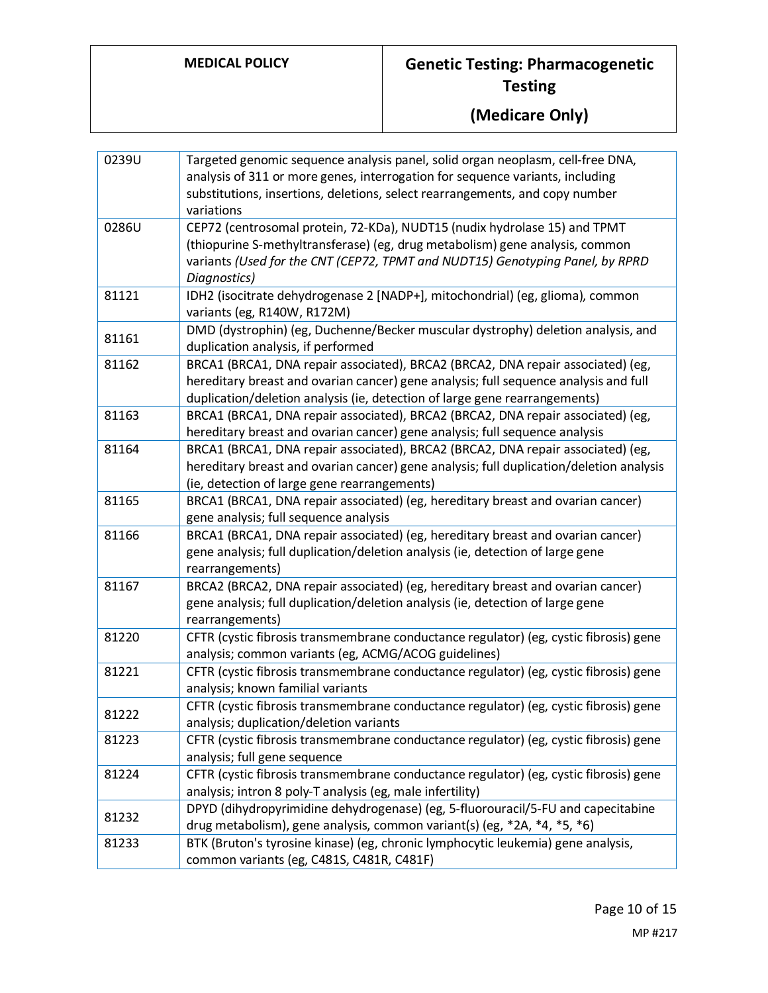| 0239U | Targeted genomic sequence analysis panel, solid organ neoplasm, cell-free DNA,                                                                               |
|-------|--------------------------------------------------------------------------------------------------------------------------------------------------------------|
|       | analysis of 311 or more genes, interrogation for sequence variants, including                                                                                |
|       | substitutions, insertions, deletions, select rearrangements, and copy number                                                                                 |
|       | variations                                                                                                                                                   |
| 0286U | CEP72 (centrosomal protein, 72-KDa), NUDT15 (nudix hydrolase 15) and TPMT                                                                                    |
|       | (thiopurine S-methyltransferase) (eg, drug metabolism) gene analysis, common                                                                                 |
|       | variants (Used for the CNT (CEP72, TPMT and NUDT15) Genotyping Panel, by RPRD                                                                                |
|       | Diagnostics)                                                                                                                                                 |
| 81121 | IDH2 (isocitrate dehydrogenase 2 [NADP+], mitochondrial) (eg, glioma), common                                                                                |
|       | variants (eg, R140W, R172M)                                                                                                                                  |
|       | DMD (dystrophin) (eg, Duchenne/Becker muscular dystrophy) deletion analysis, and                                                                             |
| 81161 | duplication analysis, if performed                                                                                                                           |
| 81162 | BRCA1 (BRCA1, DNA repair associated), BRCA2 (BRCA2, DNA repair associated) (eg,                                                                              |
|       | hereditary breast and ovarian cancer) gene analysis; full sequence analysis and full                                                                         |
|       | duplication/deletion analysis (ie, detection of large gene rearrangements)                                                                                   |
| 81163 | BRCA1 (BRCA1, DNA repair associated), BRCA2 (BRCA2, DNA repair associated) (eg,                                                                              |
|       | hereditary breast and ovarian cancer) gene analysis; full sequence analysis                                                                                  |
| 81164 | BRCA1 (BRCA1, DNA repair associated), BRCA2 (BRCA2, DNA repair associated) (eg,                                                                              |
|       | hereditary breast and ovarian cancer) gene analysis; full duplication/deletion analysis                                                                      |
|       | (ie, detection of large gene rearrangements)                                                                                                                 |
| 81165 | BRCA1 (BRCA1, DNA repair associated) (eg, hereditary breast and ovarian cancer)                                                                              |
|       | gene analysis; full sequence analysis                                                                                                                        |
| 81166 | BRCA1 (BRCA1, DNA repair associated) (eg, hereditary breast and ovarian cancer)                                                                              |
|       | gene analysis; full duplication/deletion analysis (ie, detection of large gene                                                                               |
|       | rearrangements)                                                                                                                                              |
| 81167 | BRCA2 (BRCA2, DNA repair associated) (eg, hereditary breast and ovarian cancer)                                                                              |
|       | gene analysis; full duplication/deletion analysis (ie, detection of large gene                                                                               |
|       | rearrangements)                                                                                                                                              |
| 81220 | CFTR (cystic fibrosis transmembrane conductance regulator) (eg, cystic fibrosis) gene                                                                        |
|       | analysis; common variants (eg, ACMG/ACOG guidelines)                                                                                                         |
| 81221 | CFTR (cystic fibrosis transmembrane conductance regulator) (eg, cystic fibrosis) gene                                                                        |
|       | analysis; known familial variants                                                                                                                            |
| 81222 | CFTR (cystic fibrosis transmembrane conductance regulator) (eg, cystic fibrosis) gene                                                                        |
|       | analysis; duplication/deletion variants                                                                                                                      |
| 81223 | CFTR (cystic fibrosis transmembrane conductance regulator) (eg, cystic fibrosis) gene                                                                        |
| 81224 | analysis; full gene sequence<br>CFTR (cystic fibrosis transmembrane conductance regulator) (eg, cystic fibrosis) gene                                        |
|       | analysis; intron 8 poly-T analysis (eg, male infertility)                                                                                                    |
|       |                                                                                                                                                              |
| 81232 | DPYD (dihydropyrimidine dehydrogenase) (eg, 5-fluorouracil/5-FU and capecitabine<br>drug metabolism), gene analysis, common variant(s) (eg, *2A, *4, *5, *6) |
| 81233 | BTK (Bruton's tyrosine kinase) (eg, chronic lymphocytic leukemia) gene analysis,                                                                             |
|       | common variants (eg, C481S, C481R, C481F)                                                                                                                    |
|       |                                                                                                                                                              |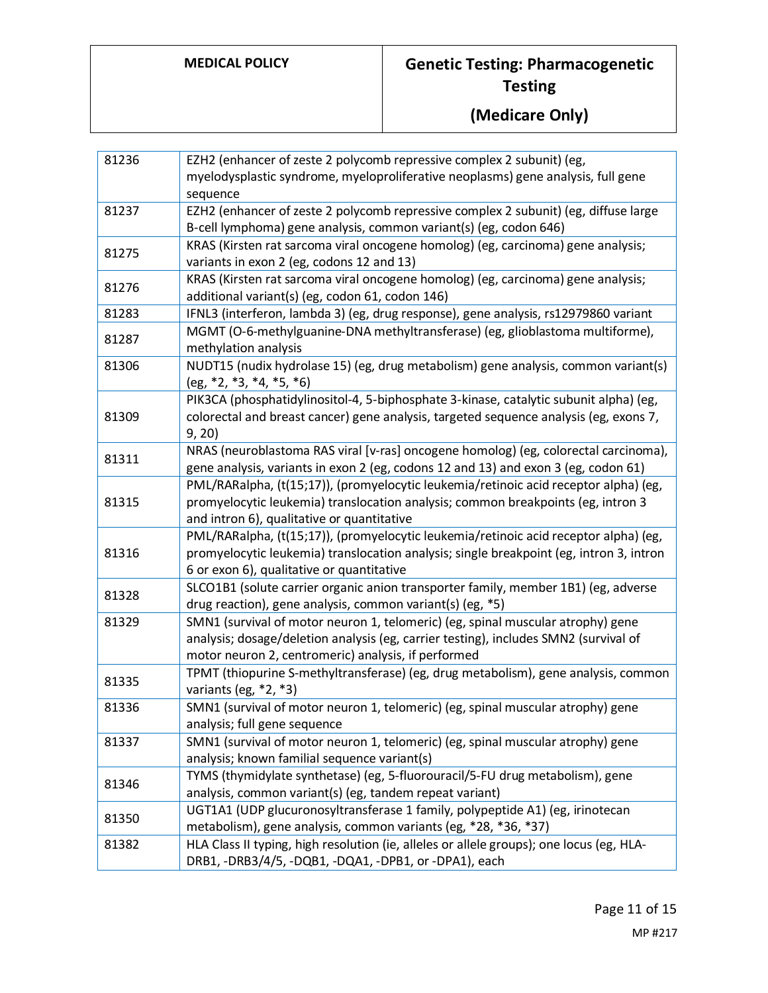| 81236 | EZH2 (enhancer of zeste 2 polycomb repressive complex 2 subunit) (eg,                                                                                                                                                          |
|-------|--------------------------------------------------------------------------------------------------------------------------------------------------------------------------------------------------------------------------------|
|       | myelodysplastic syndrome, myeloproliferative neoplasms) gene analysis, full gene                                                                                                                                               |
| 81237 | sequence<br>EZH2 (enhancer of zeste 2 polycomb repressive complex 2 subunit) (eg, diffuse large                                                                                                                                |
|       | B-cell lymphoma) gene analysis, common variant(s) (eg, codon 646)                                                                                                                                                              |
| 81275 | KRAS (Kirsten rat sarcoma viral oncogene homolog) (eg, carcinoma) gene analysis;<br>variants in exon 2 (eg, codons 12 and 13)                                                                                                  |
| 81276 | KRAS (Kirsten rat sarcoma viral oncogene homolog) (eg, carcinoma) gene analysis;<br>additional variant(s) (eg, codon 61, codon 146)                                                                                            |
| 81283 | IFNL3 (interferon, lambda 3) (eg, drug response), gene analysis, rs12979860 variant                                                                                                                                            |
| 81287 | MGMT (O-6-methylguanine-DNA methyltransferase) (eg, glioblastoma multiforme),<br>methylation analysis                                                                                                                          |
| 81306 | NUDT15 (nudix hydrolase 15) (eg, drug metabolism) gene analysis, common variant(s)<br>$(eg, *2, *3, *4, *5, *6)$                                                                                                               |
| 81309 | PIK3CA (phosphatidylinositol-4, 5-biphosphate 3-kinase, catalytic subunit alpha) (eg,<br>colorectal and breast cancer) gene analysis, targeted sequence analysis (eg, exons 7,<br>9, 20)                                       |
| 81311 | NRAS (neuroblastoma RAS viral [v-ras] oncogene homolog) (eg, colorectal carcinoma),<br>gene analysis, variants in exon 2 (eg, codons 12 and 13) and exon 3 (eg, codon 61)                                                      |
| 81315 | PML/RARalpha, (t(15;17)), (promyelocytic leukemia/retinoic acid receptor alpha) (eg,<br>promyelocytic leukemia) translocation analysis; common breakpoints (eg, intron 3<br>and intron 6), qualitative or quantitative         |
| 81316 | PML/RARalpha, (t(15;17)), (promyelocytic leukemia/retinoic acid receptor alpha) (eg,<br>promyelocytic leukemia) translocation analysis; single breakpoint (eg, intron 3, intron<br>6 or exon 6), qualitative or quantitative   |
| 81328 | SLCO1B1 (solute carrier organic anion transporter family, member 1B1) (eg, adverse<br>drug reaction), gene analysis, common variant(s) (eg, *5)                                                                                |
| 81329 | SMN1 (survival of motor neuron 1, telomeric) (eg, spinal muscular atrophy) gene<br>analysis; dosage/deletion analysis (eg, carrier testing), includes SMN2 (survival of<br>motor neuron 2, centromeric) analysis, if performed |
| 81335 | TPMT (thiopurine S-methyltransferase) (eg, drug metabolism), gene analysis, common<br>variants (eg, *2, *3)                                                                                                                    |
| 81336 | SMN1 (survival of motor neuron 1, telomeric) (eg, spinal muscular atrophy) gene<br>analysis; full gene sequence                                                                                                                |
| 81337 | SMN1 (survival of motor neuron 1, telomeric) (eg, spinal muscular atrophy) gene<br>analysis; known familial sequence variant(s)                                                                                                |
| 81346 | TYMS (thymidylate synthetase) (eg, 5-fluorouracil/5-FU drug metabolism), gene<br>analysis, common variant(s) (eg, tandem repeat variant)                                                                                       |
| 81350 | UGT1A1 (UDP glucuronosyltransferase 1 family, polypeptide A1) (eg, irinotecan<br>metabolism), gene analysis, common variants (eg, *28, *36, *37)                                                                               |
| 81382 | HLA Class II typing, high resolution (ie, alleles or allele groups); one locus (eg, HLA-<br>DRB1, -DRB3/4/5, -DQB1, -DQA1, -DPB1, or -DPA1), each                                                                              |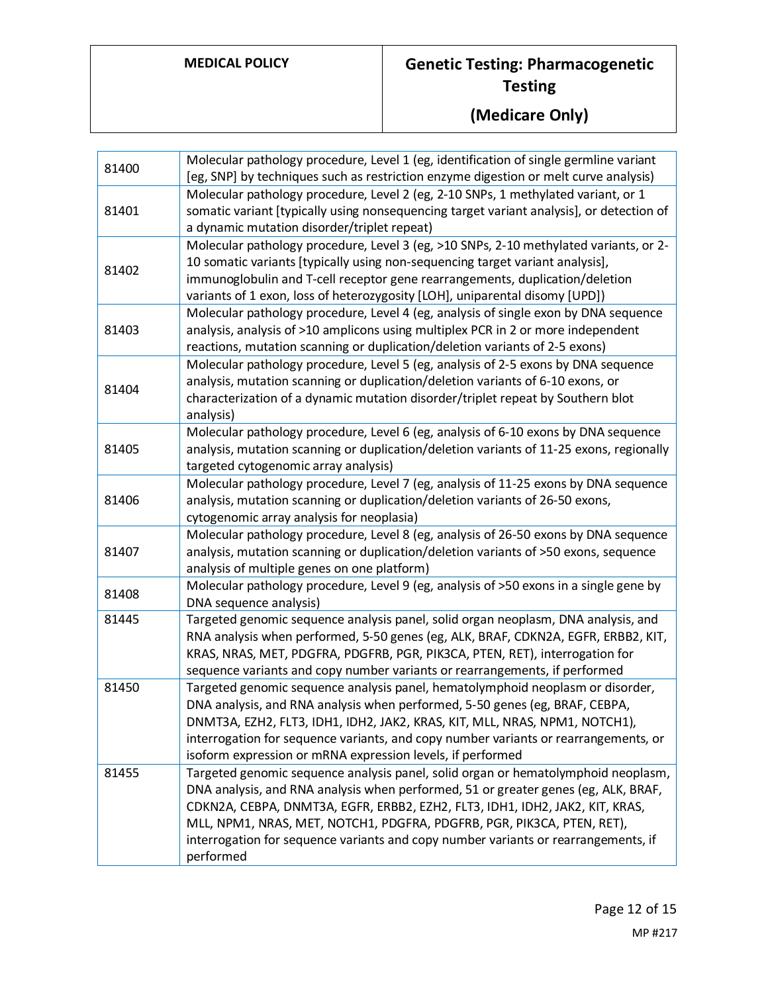| 81400 | Molecular pathology procedure, Level 1 (eg, identification of single germline variant<br>[eg, SNP] by techniques such as restriction enzyme digestion or melt curve analysis)                                                                                                                                                                                                                                                        |
|-------|--------------------------------------------------------------------------------------------------------------------------------------------------------------------------------------------------------------------------------------------------------------------------------------------------------------------------------------------------------------------------------------------------------------------------------------|
| 81401 | Molecular pathology procedure, Level 2 (eg, 2-10 SNPs, 1 methylated variant, or 1<br>somatic variant [typically using nonsequencing target variant analysis], or detection of<br>a dynamic mutation disorder/triplet repeat)                                                                                                                                                                                                         |
| 81402 | Molecular pathology procedure, Level 3 (eg, >10 SNPs, 2-10 methylated variants, or 2-<br>10 somatic variants [typically using non-sequencing target variant analysis],<br>immunoglobulin and T-cell receptor gene rearrangements, duplication/deletion<br>variants of 1 exon, loss of heterozygosity [LOH], uniparental disomy [UPD])                                                                                                |
| 81403 | Molecular pathology procedure, Level 4 (eg, analysis of single exon by DNA sequence<br>analysis, analysis of >10 amplicons using multiplex PCR in 2 or more independent<br>reactions, mutation scanning or duplication/deletion variants of 2-5 exons)                                                                                                                                                                               |
| 81404 | Molecular pathology procedure, Level 5 (eg, analysis of 2-5 exons by DNA sequence<br>analysis, mutation scanning or duplication/deletion variants of 6-10 exons, or<br>characterization of a dynamic mutation disorder/triplet repeat by Southern blot<br>analysis)                                                                                                                                                                  |
| 81405 | Molecular pathology procedure, Level 6 (eg, analysis of 6-10 exons by DNA sequence<br>analysis, mutation scanning or duplication/deletion variants of 11-25 exons, regionally<br>targeted cytogenomic array analysis)                                                                                                                                                                                                                |
| 81406 | Molecular pathology procedure, Level 7 (eg, analysis of 11-25 exons by DNA sequence<br>analysis, mutation scanning or duplication/deletion variants of 26-50 exons,<br>cytogenomic array analysis for neoplasia)                                                                                                                                                                                                                     |
| 81407 | Molecular pathology procedure, Level 8 (eg, analysis of 26-50 exons by DNA sequence<br>analysis, mutation scanning or duplication/deletion variants of >50 exons, sequence<br>analysis of multiple genes on one platform)                                                                                                                                                                                                            |
| 81408 | Molecular pathology procedure, Level 9 (eg, analysis of >50 exons in a single gene by<br>DNA sequence analysis)                                                                                                                                                                                                                                                                                                                      |
| 81445 | Targeted genomic sequence analysis panel, solid organ neoplasm, DNA analysis, and<br>RNA analysis when performed, 5-50 genes (eg, ALK, BRAF, CDKN2A, EGFR, ERBB2, KIT,<br>KRAS, NRAS, MET, PDGFRA, PDGFRB, PGR, PIK3CA, PTEN, RET), interrogation for<br>sequence variants and copy number variants or rearrangements, if performed                                                                                                  |
| 81450 | Targeted genomic sequence analysis panel, hematolymphoid neoplasm or disorder,<br>DNA analysis, and RNA analysis when performed, 5-50 genes (eg, BRAF, CEBPA,<br>DNMT3A, EZH2, FLT3, IDH1, IDH2, JAK2, KRAS, KIT, MLL, NRAS, NPM1, NOTCH1),<br>interrogation for sequence variants, and copy number variants or rearrangements, or<br>isoform expression or mRNA expression levels, if performed                                     |
| 81455 | Targeted genomic sequence analysis panel, solid organ or hematolymphoid neoplasm,<br>DNA analysis, and RNA analysis when performed, 51 or greater genes (eg, ALK, BRAF,<br>CDKN2A, CEBPA, DNMT3A, EGFR, ERBB2, EZH2, FLT3, IDH1, IDH2, JAK2, KIT, KRAS,<br>MLL, NPM1, NRAS, MET, NOTCH1, PDGFRA, PDGFRB, PGR, PIK3CA, PTEN, RET),<br>interrogation for sequence variants and copy number variants or rearrangements, if<br>performed |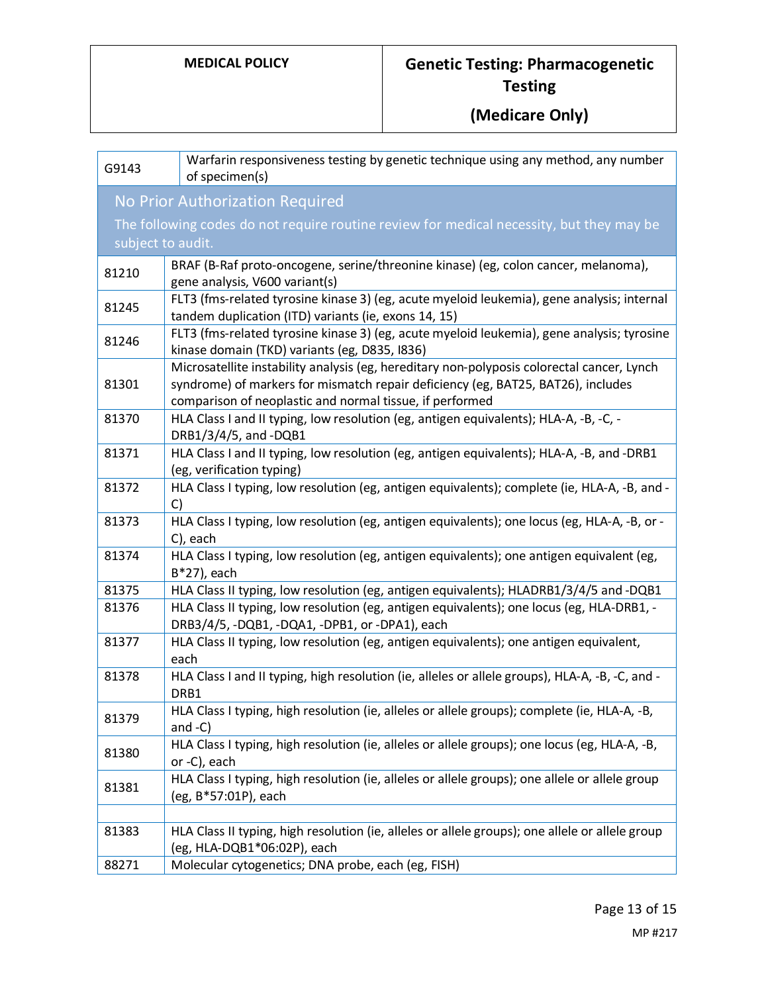| G9143 | Warfarin responsiveness testing by genetic technique using any method, any number<br>of specimen(s)                                                                                                                                        |
|-------|--------------------------------------------------------------------------------------------------------------------------------------------------------------------------------------------------------------------------------------------|
|       | No Prior Authorization Required                                                                                                                                                                                                            |
|       | The following codes do not require routine review for medical necessity, but they may be                                                                                                                                                   |
|       | subject to audit.                                                                                                                                                                                                                          |
| 81210 | BRAF (B-Raf proto-oncogene, serine/threonine kinase) (eg, colon cancer, melanoma),<br>gene analysis, V600 variant(s)                                                                                                                       |
| 81245 | FLT3 (fms-related tyrosine kinase 3) (eg, acute myeloid leukemia), gene analysis; internal<br>tandem duplication (ITD) variants (ie, exons 14, 15)                                                                                         |
| 81246 | FLT3 (fms-related tyrosine kinase 3) (eg, acute myeloid leukemia), gene analysis; tyrosine<br>kinase domain (TKD) variants (eg, D835, I836)                                                                                                |
| 81301 | Microsatellite instability analysis (eg, hereditary non-polyposis colorectal cancer, Lynch<br>syndrome) of markers for mismatch repair deficiency (eg, BAT25, BAT26), includes<br>comparison of neoplastic and normal tissue, if performed |
| 81370 | HLA Class I and II typing, low resolution (eg, antigen equivalents); HLA-A, -B, -C, -<br>DRB1/3/4/5, and -DQB1                                                                                                                             |
| 81371 | HLA Class I and II typing, low resolution (eg, antigen equivalents); HLA-A, -B, and -DRB1<br>(eg, verification typing)                                                                                                                     |
| 81372 | HLA Class I typing, low resolution (eg, antigen equivalents); complete (ie, HLA-A, -B, and -<br>C)                                                                                                                                         |
| 81373 | HLA Class I typing, low resolution (eg, antigen equivalents); one locus (eg, HLA-A, -B, or -<br>C), each                                                                                                                                   |
| 81374 | HLA Class I typing, low resolution (eg, antigen equivalents); one antigen equivalent (eg,<br>B*27), each                                                                                                                                   |
| 81375 | HLA Class II typing, low resolution (eg, antigen equivalents); HLADRB1/3/4/5 and -DQB1                                                                                                                                                     |
| 81376 | HLA Class II typing, low resolution (eg, antigen equivalents); one locus (eg, HLA-DRB1, -<br>DRB3/4/5, -DQB1, -DQA1, -DPB1, or -DPA1), each                                                                                                |
| 81377 | HLA Class II typing, low resolution (eg, antigen equivalents); one antigen equivalent,<br>each                                                                                                                                             |
| 81378 | HLA Class I and II typing, high resolution (ie, alleles or allele groups), HLA-A, -B, -C, and -<br>DRB1                                                                                                                                    |
| 81379 | HLA Class I typing, high resolution (ie, alleles or allele groups); complete (ie, HLA-A, -B,<br>and $-C$ )                                                                                                                                 |
| 81380 | HLA Class I typing, high resolution (ie, alleles or allele groups); one locus (eg, HLA-A, -B,<br>or -C), each                                                                                                                              |
| 81381 | HLA Class I typing, high resolution (ie, alleles or allele groups); one allele or allele group<br>(eg, B*57:01P), each                                                                                                                     |
| 81383 | HLA Class II typing, high resolution (ie, alleles or allele groups); one allele or allele group<br>(eg, HLA-DQB1*06:02P), each                                                                                                             |
| 88271 | Molecular cytogenetics; DNA probe, each (eg, FISH)                                                                                                                                                                                         |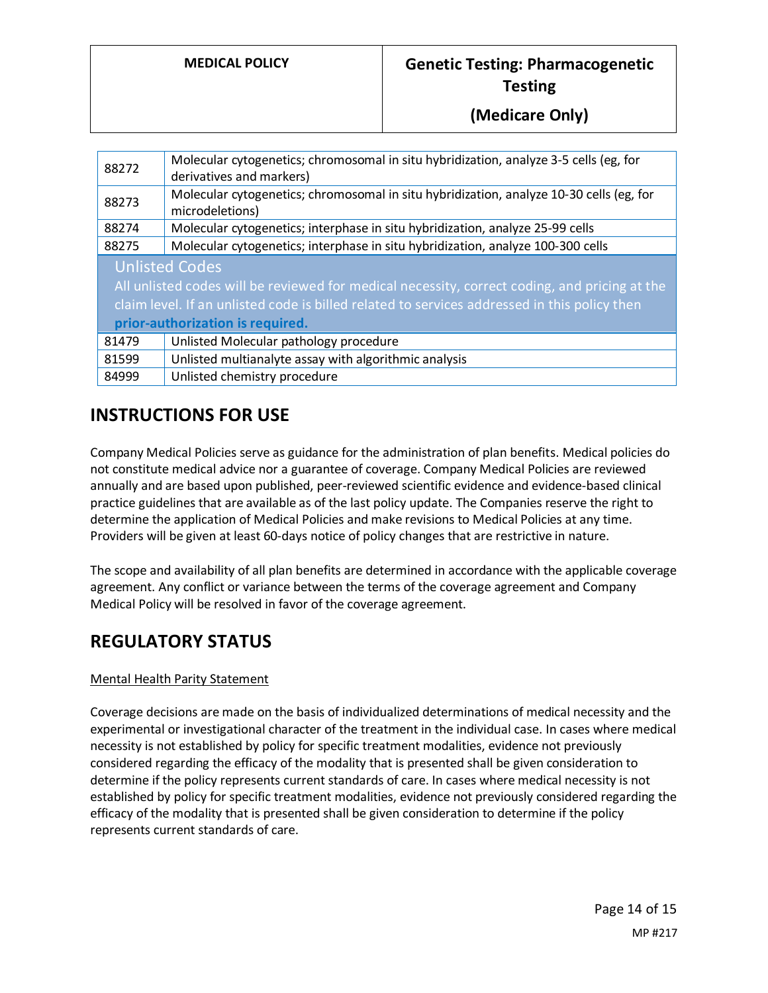| 88272                                                                                         | Molecular cytogenetics; chromosomal in situ hybridization, analyze 3-5 cells (eg, for<br>derivatives and markers) |
|-----------------------------------------------------------------------------------------------|-------------------------------------------------------------------------------------------------------------------|
| 88273                                                                                         | Molecular cytogenetics; chromosomal in situ hybridization, analyze 10-30 cells (eg, for<br>microdeletions)        |
| 88274                                                                                         | Molecular cytogenetics; interphase in situ hybridization, analyze 25-99 cells                                     |
| 88275                                                                                         | Molecular cytogenetics; interphase in situ hybridization, analyze 100-300 cells                                   |
| <b>Unlisted Codes</b>                                                                         |                                                                                                                   |
| All unlisted codes will be reviewed for medical necessity, correct coding, and pricing at the |                                                                                                                   |
| claim level. If an unlisted code is billed related to services addressed in this policy then  |                                                                                                                   |
| prior-authorization is required.                                                              |                                                                                                                   |
| 81479                                                                                         | Unlisted Molecular pathology procedure                                                                            |
| 81599                                                                                         | Unlisted multianalyte assay with algorithmic analysis                                                             |
| 84999                                                                                         | Unlisted chemistry procedure                                                                                      |

## **INSTRUCTIONS FOR USE**

Company Medical Policies serve as guidance for the administration of plan benefits. Medical policies do not constitute medical advice nor a guarantee of coverage. Company Medical Policies are reviewed annually and are based upon published, peer-reviewed scientific evidence and evidence-based clinical practice guidelines that are available as of the last policy update. The Companies reserve the right to determine the application of Medical Policies and make revisions to Medical Policies at any time. Providers will be given at least 60-days notice of policy changes that are restrictive in nature.

The scope and availability of all plan benefits are determined in accordance with the applicable coverage agreement. Any conflict or variance between the terms of the coverage agreement and Company Medical Policy will be resolved in favor of the coverage agreement.

## **REGULATORY STATUS**

#### Mental Health Parity Statement

Coverage decisions are made on the basis of individualized determinations of medical necessity and the experimental or investigational character of the treatment in the individual case. In cases where medical necessity is not established by policy for specific treatment modalities, evidence not previously considered regarding the efficacy of the modality that is presented shall be given consideration to determine if the policy represents current standards of care. In cases where medical necessity is not established by policy for specific treatment modalities, evidence not previously considered regarding the efficacy of the modality that is presented shall be given consideration to determine if the policy represents current standards of care.